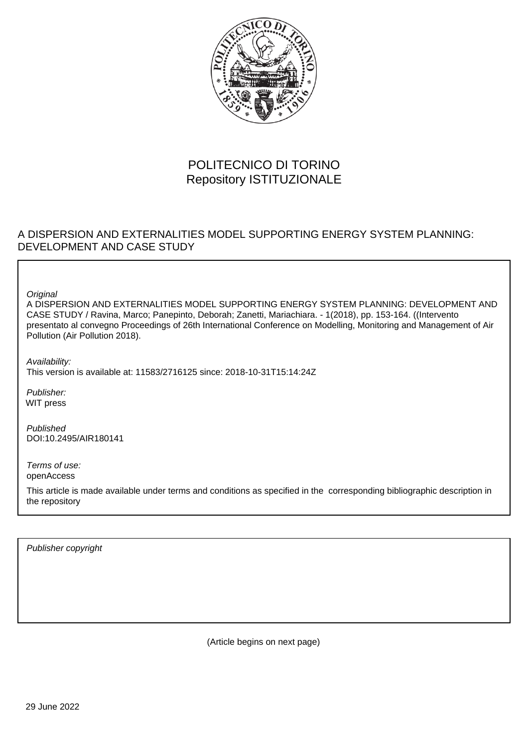

# POLITECNICO DI TORINO Repository ISTITUZIONALE

## A DISPERSION AND EXTERNALITIES MODEL SUPPORTING ENERGY SYSTEM PLANNING: DEVELOPMENT AND CASE STUDY

**Original** 

A DISPERSION AND EXTERNALITIES MODEL SUPPORTING ENERGY SYSTEM PLANNING: DEVELOPMENT AND CASE STUDY / Ravina, Marco; Panepinto, Deborah; Zanetti, Mariachiara. - 1(2018), pp. 153-164. ((Intervento presentato al convegno Proceedings of 26th International Conference on Modelling, Monitoring and Management of Air Pollution (Air Pollution 2018).

Availability: This version is available at: 11583/2716125 since: 2018-10-31T15:14:24Z

Publisher: WIT press

Published DOI:10.2495/AIR180141

Terms of use: openAccess

This article is made available under terms and conditions as specified in the corresponding bibliographic description in the repository

Publisher copyright

(Article begins on next page)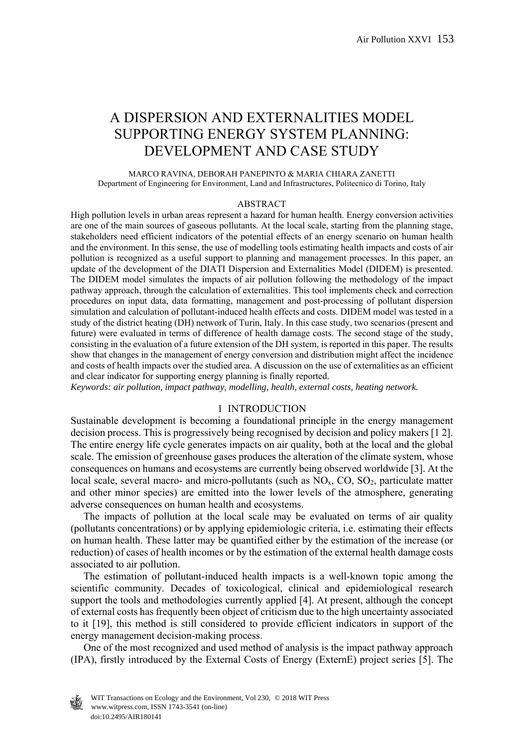## A DISPERSION AND EXTERNALITIES MODEL SUPPORTING ENERGY SYSTEM PLANNING: DEVELOPMENT AND CASE STUDY

#### MARCO RAVINA, DEBORAH PANEPINTO & MARIA CHIARA ZANETTI Department of Engineering for Environment, Land and Infrastructures, Politecnico di Torino, Italy

#### ABSTRACT

High pollution levels in urban areas represent a hazard for human health. Energy conversion activities are one of the main sources of gaseous pollutants. At the local scale, starting from the planning stage, stakeholders need efficient indicators of the potential effects of an energy scenario on human health and the environment. In this sense, the use of modelling tools estimating health impacts and costs of air pollution is recognized as a useful support to planning and management processes. In this paper, an update of the development of the DIATI Dispersion and Externalities Model (DIDEM) is presented. The DIDEM model simulates the impacts of air pollution following the methodology of the impact pathway approach, through the calculation of externalities. This tool implements check and correction procedures on input data, data formatting, management and post-processing of pollutant dispersion simulation and calculation of pollutant-induced health effects and costs. DIDEM model was tested in a study of the district heating (DH) network of Turin, Italy. In this case study, two scenarios (present and future) were evaluated in terms of difference of health damage costs. The second stage of the study, consisting in the evaluation of a future extension of the DH system, is reported in this paper. The results show that changes in the management of energy conversion and distribution might affect the incidence and costs of health impacts over the studied area. A discussion on the use of externalities as an efficient and clear indicator for supporting energy planning is finally reported.

*Keywords: air pollution, impact pathway, modelling, health, external costs, heating network.* 

#### 1 INTRODUCTION

Sustainable development is becoming a foundational principle in the energy management decision process. This is progressively being recognised by decision and policy makers [1 2]. The entire energy life cycle generates impacts on air quality, both at the local and the global scale. The emission of greenhouse gases produces the alteration of the climate system, whose consequences on humans and ecosystems are currently being observed worldwide [3]. At the local scale, several macro- and micro-pollutants (such as  $NO<sub>x</sub>$ , CO, SO<sub>2</sub>, particulate matter and other minor species) are emitted into the lower levels of the atmosphere, generating adverse consequences on human health and ecosystems.

 The impacts of pollution at the local scale may be evaluated on terms of air quality (pollutants concentrations) or by applying epidemiologic criteria, i.e. estimating their effects on human health. These latter may be quantified either by the estimation of the increase (or reduction) of cases of health incomes or by the estimation of the external health damage costs associated to air pollution.

 The estimation of pollutant-induced health impacts is a well-known topic among the scientific community. Decades of toxicological, clinical and epidemiological research support the tools and methodologies currently applied [4]. At present, although the concept of external costs has frequently been object of criticism due to the high uncertainty associated to it [19], this method is still considered to provide efficient indicators in support of the energy management decision-making process.

 One of the most recognized and used method of analysis is the impact pathway approach (IPA), firstly introduced by the External Costs of Energy (ExternE) project series [5]. The

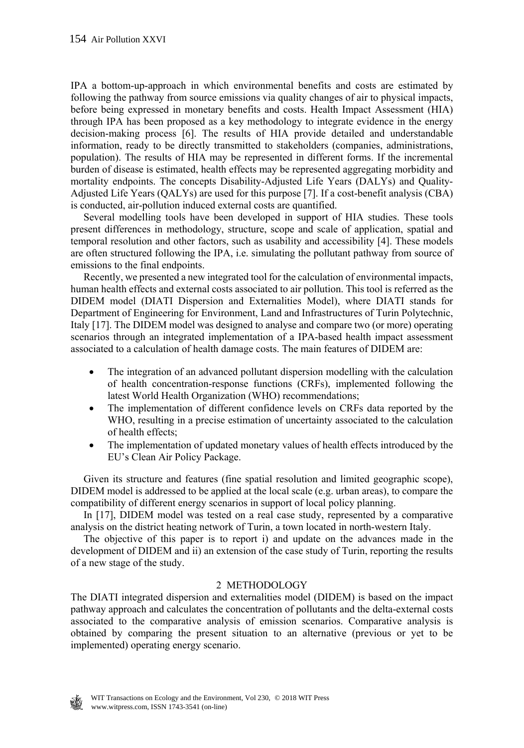IPA a bottom-up-approach in which environmental benefits and costs are estimated by following the pathway from source emissions via quality changes of air to physical impacts, before being expressed in monetary benefits and costs. Health Impact Assessment (HIA) through IPA has been proposed as a key methodology to integrate evidence in the energy decision-making process [6]. The results of HIA provide detailed and understandable information, ready to be directly transmitted to stakeholders (companies, administrations, population). The results of HIA may be represented in different forms. If the incremental burden of disease is estimated, health effects may be represented aggregating morbidity and mortality endpoints. The concepts Disability-Adjusted Life Years (DALYs) and Quality-Adjusted Life Years (QALYs) are used for this purpose [7]. If a cost-benefit analysis (CBA) is conducted, air-pollution induced external costs are quantified.

 Several modelling tools have been developed in support of HIA studies. These tools present differences in methodology, structure, scope and scale of application, spatial and temporal resolution and other factors, such as usability and accessibility [4]. These models are often structured following the IPA, i.e. simulating the pollutant pathway from source of emissions to the final endpoints.

 Recently, we presented a new integrated tool for the calculation of environmental impacts, human health effects and external costs associated to air pollution. This tool is referred as the DIDEM model (DIATI Dispersion and Externalities Model), where DIATI stands for Department of Engineering for Environment, Land and Infrastructures of Turin Polytechnic, Italy [17]. The DIDEM model was designed to analyse and compare two (or more) operating scenarios through an integrated implementation of a IPA-based health impact assessment associated to a calculation of health damage costs. The main features of DIDEM are:

- The integration of an advanced pollutant dispersion modelling with the calculation of health concentration-response functions (CRFs), implemented following the latest World Health Organization (WHO) recommendations;
- The implementation of different confidence levels on CRFs data reported by the WHO, resulting in a precise estimation of uncertainty associated to the calculation of health effects;
- The implementation of updated monetary values of health effects introduced by the EU's Clean Air Policy Package.

 Given its structure and features (fine spatial resolution and limited geographic scope), DIDEM model is addressed to be applied at the local scale (e.g. urban areas), to compare the compatibility of different energy scenarios in support of local policy planning.

 In [17], DIDEM model was tested on a real case study, represented by a comparative analysis on the district heating network of Turin, a town located in north-western Italy.

 The objective of this paper is to report i) and update on the advances made in the development of DIDEM and ii) an extension of the case study of Turin, reporting the results of a new stage of the study.

## 2 METHODOLOGY

The DIATI integrated dispersion and externalities model (DIDEM) is based on the impact pathway approach and calculates the concentration of pollutants and the delta-external costs associated to the comparative analysis of emission scenarios. Comparative analysis is obtained by comparing the present situation to an alternative (previous or yet to be implemented) operating energy scenario.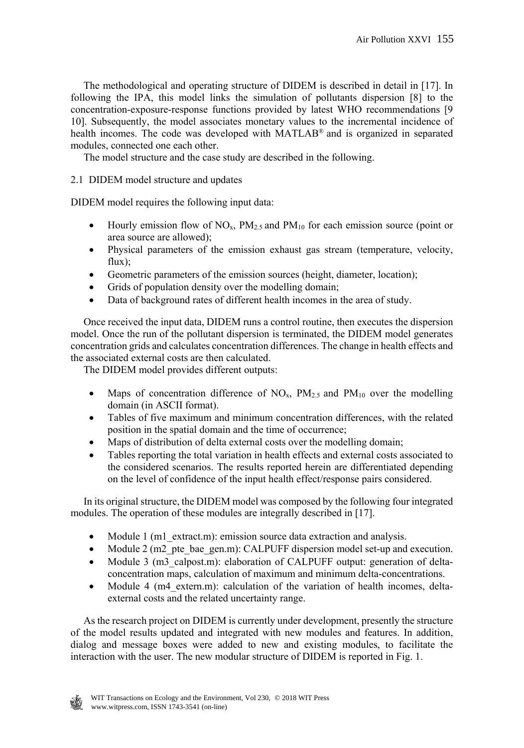The methodological and operating structure of DIDEM is described in detail in [17]. In following the IPA, this model links the simulation of pollutants dispersion [8] to the concentration-exposure-response functions provided by latest WHO recommendations [9 10]. Subsequently, the model associates monetary values to the incremental incidence of health incomes. The code was developed with MATLAB® and is organized in separated modules, connected one each other.

The model structure and the case study are described in the following.

## 2.1 DIDEM model structure and updates

DIDEM model requires the following input data:

- $\bullet$  Hourly emission flow of NO<sub>x</sub>, PM<sub>2.5</sub> and PM<sub>10</sub> for each emission source (point or area source are allowed);
- Physical parameters of the emission exhaust gas stream (temperature, velocity, flux);
- Geometric parameters of the emission sources (height, diameter, location);
- Grids of population density over the modelling domain;
- Data of background rates of different health incomes in the area of study.

 Once received the input data, DIDEM runs a control routine, then executes the dispersion model. Once the run of the pollutant dispersion is terminated, the DIDEM model generates concentration grids and calculates concentration differences. The change in health effects and the associated external costs are then calculated.

The DIDEM model provides different outputs:

- Maps of concentration difference of  $NO<sub>x</sub>$ ,  $PM<sub>2.5</sub>$  and  $PM<sub>10</sub>$  over the modelling domain (in ASCII format).
- Tables of five maximum and minimum concentration differences, with the related position in the spatial domain and the time of occurrence;
- Maps of distribution of delta external costs over the modelling domain;
- Tables reporting the total variation in health effects and external costs associated to the considered scenarios. The results reported herein are differentiated depending on the level of confidence of the input health effect/response pairs considered.

 In its original structure, the DIDEM model was composed by the following four integrated modules. The operation of these modules are integrally described in [17].

- Module 1 (m1\_extract.m): emission source data extraction and analysis.
- Module 2 (m2 pte bae gen.m): CALPUFF dispersion model set-up and execution.
- Module 3 (m3 calpost.m): elaboration of CALPUFF output: generation of deltaconcentration maps, calculation of maximum and minimum delta-concentrations.
- Module 4 (m4 extern.m): calculation of the variation of health incomes, deltaexternal costs and the related uncertainty range.

 As the research project on DIDEM is currently under development, presently the structure of the model results updated and integrated with new modules and features. In addition, dialog and message boxes were added to new and existing modules, to facilitate the interaction with the user. The new modular structure of DIDEM is reported in Fig. 1.

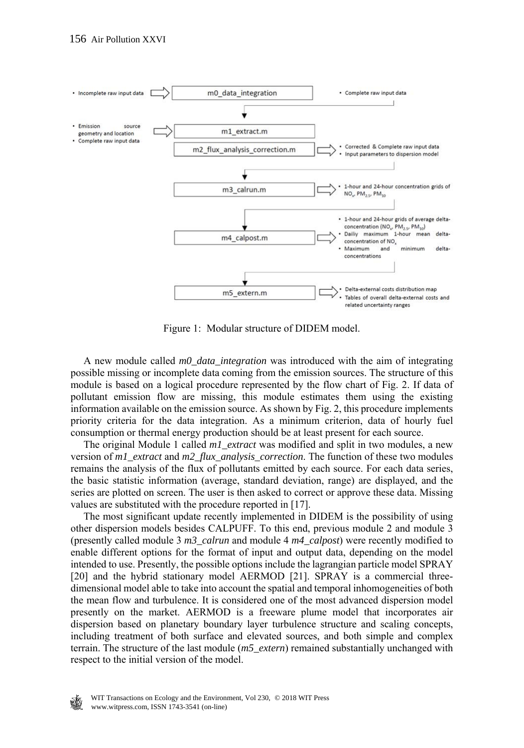

Figure 1: Modular structure of DIDEM model.

 A new module called *m0\_data\_integration* was introduced with the aim of integrating possible missing or incomplete data coming from the emission sources. The structure of this module is based on a logical procedure represented by the flow chart of Fig. 2. If data of pollutant emission flow are missing, this module estimates them using the existing information available on the emission source. As shown by Fig. 2, this procedure implements priority criteria for the data integration. As a minimum criterion, data of hourly fuel consumption or thermal energy production should be at least present for each source.

 The original Module 1 called *m1\_extract* was modified and split in two modules, a new version of *m1\_extract* and *m2\_flux\_analysis\_correction*. The function of these two modules remains the analysis of the flux of pollutants emitted by each source. For each data series, the basic statistic information (average, standard deviation, range) are displayed, and the series are plotted on screen. The user is then asked to correct or approve these data. Missing values are substituted with the procedure reported in [17].

 The most significant update recently implemented in DIDEM is the possibility of using other dispersion models besides CALPUFF. To this end, previous module 2 and module 3 (presently called module 3 *m3\_calrun* and module 4 *m4\_calpost*) were recently modified to enable different options for the format of input and output data, depending on the model intended to use. Presently, the possible options include the lagrangian particle model SPRAY [20] and the hybrid stationary model AERMOD [21]. SPRAY is a commercial threedimensional model able to take into account the spatial and temporal inhomogeneities of both the mean flow and turbulence. It is considered one of the most advanced dispersion model presently on the market. AERMOD is a freeware plume model that incorporates air dispersion based on planetary boundary layer turbulence structure and scaling concepts, including treatment of both surface and elevated sources, and both simple and complex terrain. The structure of the last module (*m5\_extern*) remained substantially unchanged with respect to the initial version of the model.

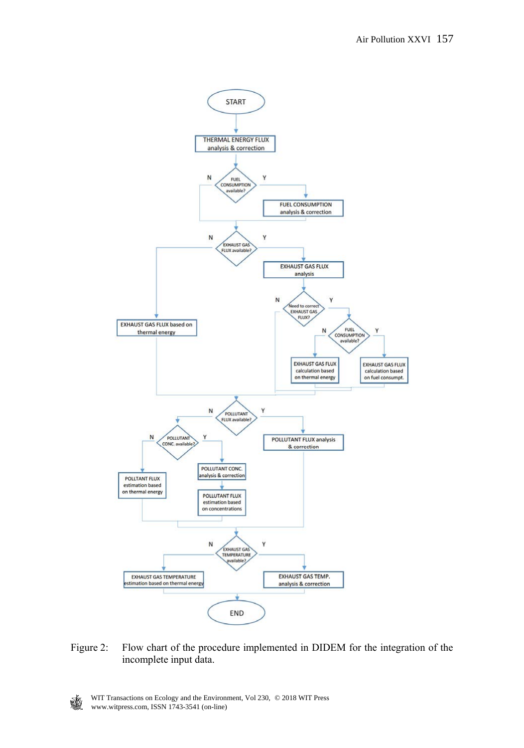

Figure 2: Flow chart of the procedure implemented in DIDEM for the integration of the incomplete input data.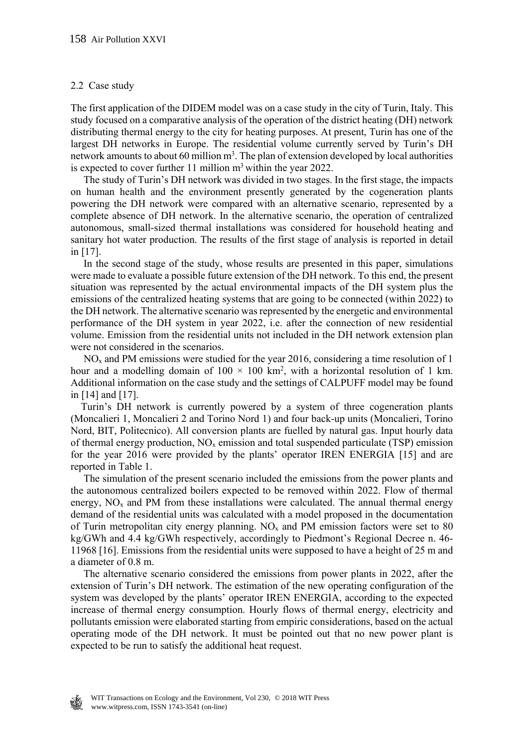#### 2.2 Case study

The first application of the DIDEM model was on a case study in the city of Turin, Italy. This study focused on a comparative analysis of the operation of the district heating (DH) network distributing thermal energy to the city for heating purposes. At present, Turin has one of the largest DH networks in Europe. The residential volume currently served by Turin's DH network amounts to about 60 million  $m<sup>3</sup>$ . The plan of extension developed by local authorities is expected to cover further 11 million  $m<sup>3</sup>$  within the year 2022.

 The study of Turin's DH network was divided in two stages. In the first stage, the impacts on human health and the environment presently generated by the cogeneration plants powering the DH network were compared with an alternative scenario, represented by a complete absence of DH network. In the alternative scenario, the operation of centralized autonomous, small-sized thermal installations was considered for household heating and sanitary hot water production. The results of the first stage of analysis is reported in detail in [17].

 In the second stage of the study, whose results are presented in this paper, simulations were made to evaluate a possible future extension of the DH network. To this end, the present situation was represented by the actual environmental impacts of the DH system plus the emissions of the centralized heating systems that are going to be connected (within 2022) to the DH network. The alternative scenario was represented by the energetic and environmental performance of the DH system in year 2022, i.e. after the connection of new residential volume. Emission from the residential units not included in the DH network extension plan were not considered in the scenarios.

 $NO<sub>x</sub>$  and PM emissions were studied for the year 2016, considering a time resolution of 1 hour and a modelling domain of  $100 \times 100$  km<sup>2</sup>, with a horizontal resolution of 1 km. Additional information on the case study and the settings of CALPUFF model may be found in [14] and [17].

 Turin's DH network is currently powered by a system of three cogeneration plants (Moncalieri 1, Moncalieri 2 and Torino Nord 1) and four back-up units (Moncalieri, Torino Nord, BIT, Politecnico). All conversion plants are fuelled by natural gas. Input hourly data of thermal energy production,  $NO<sub>x</sub>$  emission and total suspended particulate (TSP) emission for the year 2016 were provided by the plants' operator IREN ENERGIA [15] and are reported in Table 1.

 The simulation of the present scenario included the emissions from the power plants and the autonomous centralized boilers expected to be removed within 2022. Flow of thermal energy,  $NO<sub>x</sub>$  and PM from these installations were calculated. The annual thermal energy demand of the residential units was calculated with a model proposed in the documentation of Turin metropolitan city energy planning.  $NO<sub>x</sub>$  and PM emission factors were set to 80 kg/GWh and 4.4 kg/GWh respectively, accordingly to Piedmont's Regional Decree n. 46- 11968 [16]. Emissions from the residential units were supposed to have a height of 25 m and a diameter of 0.8 m.

 The alternative scenario considered the emissions from power plants in 2022, after the extension of Turin's DH network. The estimation of the new operating configuration of the system was developed by the plants' operator IREN ENERGIA, according to the expected increase of thermal energy consumption. Hourly flows of thermal energy, electricity and pollutants emission were elaborated starting from empiric considerations, based on the actual operating mode of the DH network. It must be pointed out that no new power plant is expected to be run to satisfy the additional heat request.

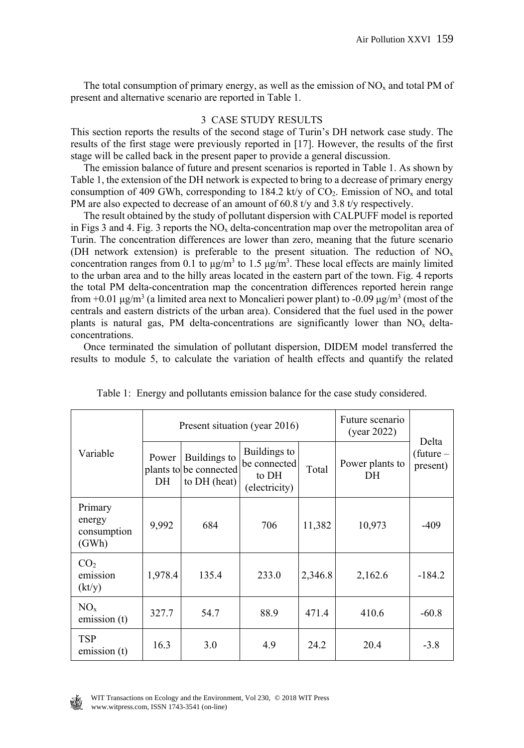The total consumption of primary energy, as well as the emission of  $NO<sub>x</sub>$  and total PM of present and alternative scenario are reported in Table 1.

#### 3 CASE STUDY RESULTS

This section reports the results of the second stage of Turin's DH network case study. The results of the first stage were previously reported in [17]. However, the results of the first stage will be called back in the present paper to provide a general discussion.

 The emission balance of future and present scenarios is reported in Table 1. As shown by Table 1, the extension of the DH network is expected to bring to a decrease of primary energy consumption of 409 GWh, corresponding to 184.2 kt/y of  $CO<sub>2</sub>$ . Emission of NO<sub>x</sub> and total PM are also expected to decrease of an amount of 60.8 t/y and 3.8 t/y respectively.

 The result obtained by the study of pollutant dispersion with CALPUFF model is reported in Figs 3 and 4. Fig. 3 reports the  $NO<sub>x</sub>$  delta-concentration map over the metropolitan area of Turin. The concentration differences are lower than zero, meaning that the future scenario (DH network extension) is preferable to the present situation. The reduction of  $NO<sub>x</sub>$ concentration ranges from 0.1 to  $\mu$ g/m<sup>3</sup> to 1.5  $\mu$ g/m<sup>3</sup>. These local effects are mainly limited to the urban area and to the hilly areas located in the eastern part of the town. Fig. 4 reports the total PM delta-concentration map the concentration differences reported herein range from +0.01 μg/m<sup>3</sup> (a limited area next to Moncalieri power plant) to -0.09 μg/m<sup>3</sup> (most of the centrals and eastern districts of the urban area). Considered that the fuel used in the power plants is natural gas, PM delta-concentrations are significantly lower than  $NO<sub>x</sub>$  deltaconcentrations.

 Once terminated the simulation of pollutant dispersion, DIDEM model transferred the results to module 5, to calculate the variation of health effects and quantify the related

|                                                | Present situation (year 2016) |                                                        |                                                        |         | Future scenario<br>(year 2022) |                                  |  |
|------------------------------------------------|-------------------------------|--------------------------------------------------------|--------------------------------------------------------|---------|--------------------------------|----------------------------------|--|
| Variable                                       | Power<br>DH                   | Buildings to<br>plants to be connected<br>to DH (heat) | Buildings to<br>be connected<br>to DH<br>(electricity) | Total   | Power plants to<br>DH          | Delta<br>(future $-$<br>present) |  |
| Primary<br>energy<br>consumption<br>(GWh)      | 9,992                         | 684                                                    | 706                                                    | 11,382  | 10,973                         | $-409$                           |  |
| CO <sub>2</sub><br>emission<br>$(\text{kt/y})$ | 1,978.4                       | 135.4                                                  | 233.0                                                  | 2,346.8 | 2,162.6                        | $-184.2$                         |  |
| $NO_{x}$<br>emission (t)                       | 327.7                         | 54.7                                                   | 88.9                                                   | 471.4   | 410.6                          | $-60.8$                          |  |
| <b>TSP</b><br>emission (t)                     | 16.3                          | 3.0                                                    | 4.9                                                    | 24.2    | 20.4                           | $-3.8$                           |  |

| Table 1: Energy and pollutants emission balance for the case study considered. |  |  |  |  |  |  |  |  |
|--------------------------------------------------------------------------------|--|--|--|--|--|--|--|--|
|--------------------------------------------------------------------------------|--|--|--|--|--|--|--|--|

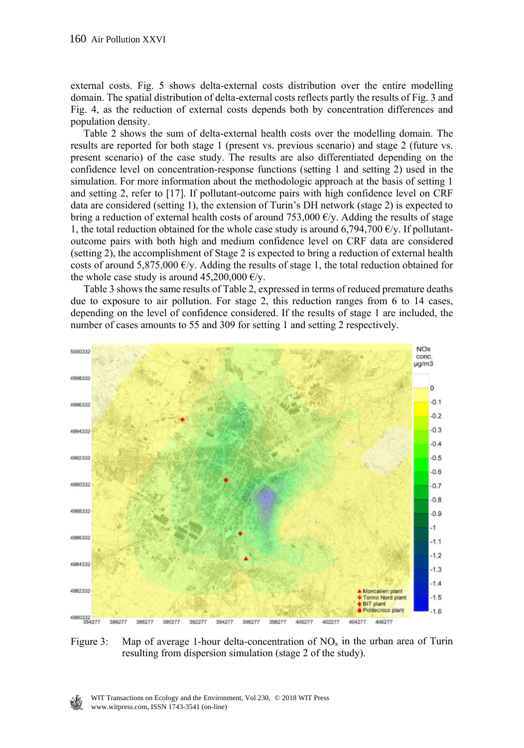external costs. Fig. 5 shows delta-external costs distribution over the entire modelling domain. The spatial distribution of delta-external costs reflects partly the results of Fig. 3 and Fig. 4, as the reduction of external costs depends both by concentration differences and population density.

 Table 2 shows the sum of delta-external health costs over the modelling domain. The results are reported for both stage 1 (present vs. previous scenario) and stage 2 (future vs. present scenario) of the case study. The results are also differentiated depending on the confidence level on concentration-response functions (setting 1 and setting 2) used in the simulation. For more information about the methodologic approach at the basis of setting 1 and setting 2, refer to [17]. If pollutant-outcome pairs with high confidence level on CRF data are considered (setting 1), the extension of Turin's DH network (stage 2) is expected to bring a reduction of external health costs of around 753,000  $\epsilon$ /y. Adding the results of stage 1, the total reduction obtained for the whole case study is around 6,794,700  $E/y$ . If pollutantoutcome pairs with both high and medium confidence level on CRF data are considered (setting 2), the accomplishment of Stage 2 is expected to bring a reduction of external health costs of around 5,875,000  $\epsilon$ /y. Adding the results of stage 1, the total reduction obtained for the whole case study is around  $45,200,000 \text{ E/y}$ .

 Table 3 shows the same results of Table 2, expressed in terms of reduced premature deaths due to exposure to air pollution. For stage 2, this reduction ranges from 6 to 14 cases, depending on the level of confidence considered. If the results of stage 1 are included, the number of cases amounts to 55 and 309 for setting 1 and setting 2 respectively.



Figure 3: Map of average 1-hour delta-concentration of  $NO<sub>x</sub>$  in the urban area of Turin resulting from dispersion simulation (stage 2 of the study).

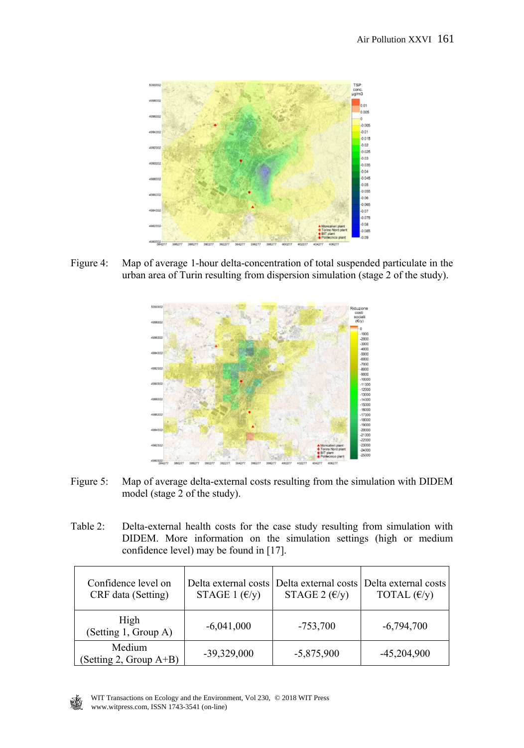

Figure 4: Map of average 1-hour delta-concentration of total suspended particulate in the urban area of Turin resulting from dispersion simulation (stage 2 of the study).



- Figure 5: Map of average delta-external costs resulting from the simulation with DIDEM model (stage 2 of the study).
- Table 2: Delta-external health costs for the case study resulting from simulation with DIDEM. More information on the simulation settings (high or medium confidence level) may be found in [17].

| Confidence level on<br>CRF data (Setting) | STAGE 1 $(\mathcal{E}/y)$ | STAGE 2 $(\epsilon/\gamma)$ | Delta external costs Delta external costs Delta external costs l<br>TOTAL $(\epsilon/\gamma)$ |
|-------------------------------------------|---------------------------|-----------------------------|-----------------------------------------------------------------------------------------------|
| High<br>(Setting 1, Group A)              | $-6,041,000$              | $-753,700$                  | $-6,794,700$                                                                                  |
| Medium<br>(Setting 2, Group $A+B$ )       | $-39,329,000$             | $-5,875,900$                | $-45,204,900$                                                                                 |

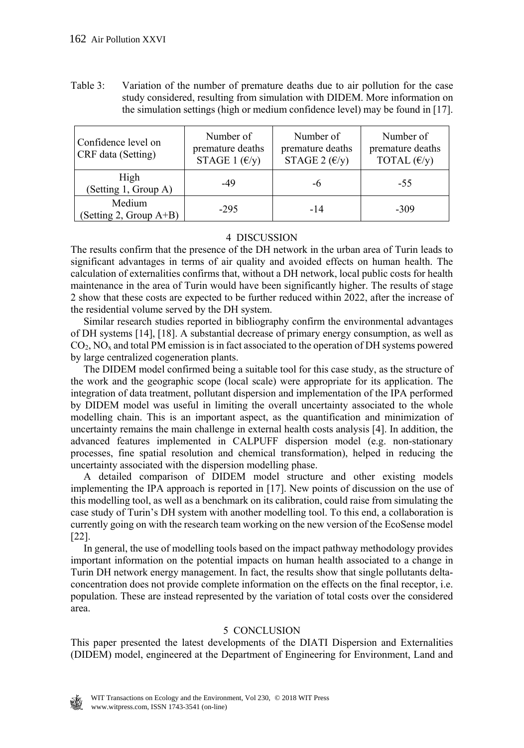Table 3: Variation of the number of premature deaths due to air pollution for the case study considered, resulting from simulation with DIDEM. More information on the simulation settings (high or medium confidence level) may be found in [17].

| Confidence level on<br>CRF data (Setting) | Number of<br>premature deaths<br>STAGE 1 $(\epsilon/\gamma)$ | Number of<br>premature deaths<br>STAGE 2 $(\epsilon/\gamma)$ | Number of<br>premature deaths<br>TOTAL $(\epsilon/y)$ |
|-------------------------------------------|--------------------------------------------------------------|--------------------------------------------------------------|-------------------------------------------------------|
| High<br>(Setting 1, Group A)              | -49                                                          | -6                                                           | $-55$                                                 |
| Medium<br>(Setting 2, Group A+B)          | $-295$                                                       | $-14$                                                        | $-309$                                                |

## 4 DISCUSSION

The results confirm that the presence of the DH network in the urban area of Turin leads to significant advantages in terms of air quality and avoided effects on human health. The calculation of externalities confirms that, without a DH network, local public costs for health maintenance in the area of Turin would have been significantly higher. The results of stage 2 show that these costs are expected to be further reduced within 2022, after the increase of the residential volume served by the DH system.

 Similar research studies reported in bibliography confirm the environmental advantages of DH systems [14], [18]. A substantial decrease of primary energy consumption, as well as  $CO<sub>2</sub>$ , NO<sub>x</sub> and total PM emission is in fact associated to the operation of DH systems powered by large centralized cogeneration plants.

 The DIDEM model confirmed being a suitable tool for this case study, as the structure of the work and the geographic scope (local scale) were appropriate for its application. The integration of data treatment, pollutant dispersion and implementation of the IPA performed by DIDEM model was useful in limiting the overall uncertainty associated to the whole modelling chain. This is an important aspect, as the quantification and minimization of uncertainty remains the main challenge in external health costs analysis [4]. In addition, the advanced features implemented in CALPUFF dispersion model (e.g. non-stationary processes, fine spatial resolution and chemical transformation), helped in reducing the uncertainty associated with the dispersion modelling phase.

 A detailed comparison of DIDEM model structure and other existing models implementing the IPA approach is reported in [17]. New points of discussion on the use of this modelling tool, as well as a benchmark on its calibration, could raise from simulating the case study of Turin's DH system with another modelling tool. To this end, a collaboration is currently going on with the research team working on the new version of the EcoSense model [22].

 In general, the use of modelling tools based on the impact pathway methodology provides important information on the potential impacts on human health associated to a change in Turin DH network energy management. In fact, the results show that single pollutants deltaconcentration does not provide complete information on the effects on the final receptor, i.e. population. These are instead represented by the variation of total costs over the considered area.

## 5 CONCLUSION

This paper presented the latest developments of the DIATI Dispersion and Externalities (DIDEM) model, engineered at the Department of Engineering for Environment, Land and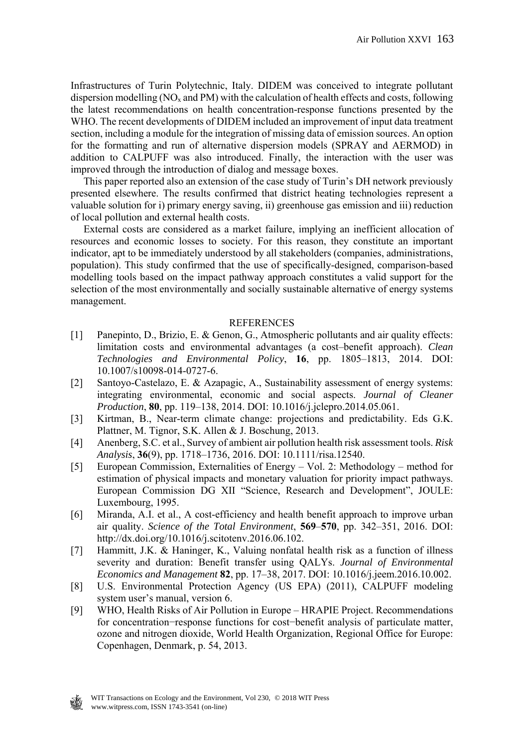Infrastructures of Turin Polytechnic, Italy. DIDEM was conceived to integrate pollutant dispersion modelling ( $NO<sub>x</sub>$  and PM) with the calculation of health effects and costs, following the latest recommendations on health concentration-response functions presented by the WHO. The recent developments of DIDEM included an improvement of input data treatment section, including a module for the integration of missing data of emission sources. An option for the formatting and run of alternative dispersion models (SPRAY and AERMOD) in addition to CALPUFF was also introduced. Finally, the interaction with the user was improved through the introduction of dialog and message boxes.

 This paper reported also an extension of the case study of Turin's DH network previously presented elsewhere. The results confirmed that district heating technologies represent a valuable solution for i) primary energy saving, ii) greenhouse gas emission and iii) reduction of local pollution and external health costs.

 External costs are considered as a market failure, implying an inefficient allocation of resources and economic losses to society. For this reason, they constitute an important indicator, apt to be immediately understood by all stakeholders (companies, administrations, population). This study confirmed that the use of specifically-designed, comparison-based modelling tools based on the impact pathway approach constitutes a valid support for the selection of the most environmentally and socially sustainable alternative of energy systems management.

#### REFERENCES

- [1] Panepinto, D., Brizio, E. & Genon, G., Atmospheric pollutants and air quality effects: limitation costs and environmental advantages (a cost–benefit approach). *Clean Technologies and Environmental Policy*, **16**, pp. 1805–1813, 2014. DOI: 10.1007/s10098-014-0727-6.
- [2] Santoyo-Castelazo, E. & Azapagic, A., Sustainability assessment of energy systems: integrating environmental, economic and social aspects. *Journal of Cleaner Production*, **80**, pp. 119–138, 2014. DOI: 10.1016/j.jclepro.2014.05.061.
- [3] Kirtman, B., Near-term climate change: projections and predictability. Eds G.K. Plattner, M. Tignor, S.K. Allen & J. Boschung, 2013.
- [4] Anenberg, S.C. et al., Survey of ambient air pollution health risk assessment tools. *Risk Analysis*, **36**(9), pp. 1718–1736, 2016. DOI: 10.1111/risa.12540.
- [5] European Commission, Externalities of Energy Vol. 2: Methodology method for estimation of physical impacts and monetary valuation for priority impact pathways. European Commission DG XII "Science, Research and Development", JOULE: Luxembourg, 1995.
- [6] Miranda, A.I. et al., A cost-efficiency and health benefit approach to improve urban air quality. *Science of the Total Environment*, **569**–**570**, pp. 342–351, 2016. DOI: http://dx.doi.org/10.1016/j.scitotenv.2016.06.102.
- [7] Hammitt, J.K. & Haninger, K., Valuing nonfatal health risk as a function of illness severity and duration: Benefit transfer using QALYs. *Journal of Environmental Economics and Management* **82**, pp. 17–38, 2017. DOI: 10.1016/j.jeem.2016.10.002.
- [8] U.S. Environmental Protection Agency (US EPA) (2011), CALPUFF modeling system user's manual, version 6.
- [9] WHO, Health Risks of Air Pollution in Europe HRAPIE Project. Recommendations for concentration−response functions for cost−benefit analysis of particulate matter, ozone and nitrogen dioxide, World Health Organization, Regional Office for Europe: Copenhagen, Denmark, p. 54, 2013.